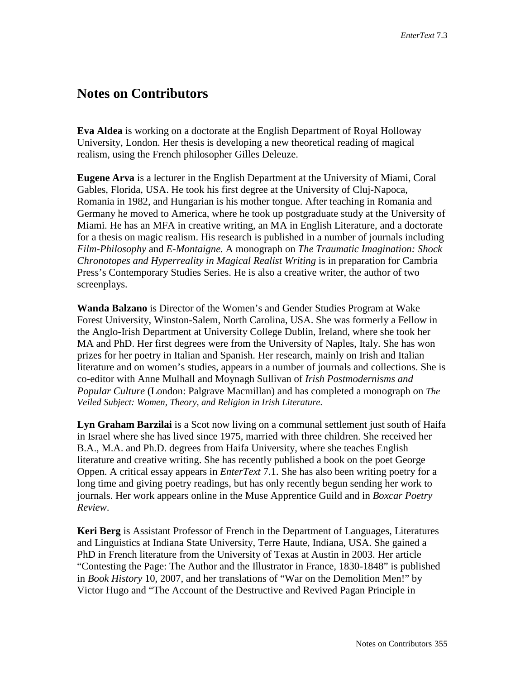## **Notes on Contributors**

**Eva Aldea** is working on a doctorate at the English Department of Royal Holloway University, London. Her thesis is developing a new theoretical reading of magical realism, using the French philosopher Gilles Deleuze.

**Eugene Arva** is a lecturer in the English Department at the University of Miami, Coral Gables, Florida, USA. He took his first degree at the University of Cluj-Napoca, Romania in 1982, and Hungarian is his mother tongue. After teaching in Romania and Germany he moved to America, where he took up postgraduate study at the University of Miami. He has an MFA in creative writing, an MA in English Literature, and a doctorate for a thesis on magic realism. His research is published in a number of journals including *Film-Philosophy* and *E-Montaigne.* A monograph on *The Traumatic Imagination: Shock Chronotopes and Hyperreality in Magical Realist Writing* is in preparation for Cambria Press's Contemporary Studies Series. He is also a creative writer, the author of two screenplays.

**Wanda Balzano** is Director of the Women's and Gender Studies Program at Wake Forest University, Winston-Salem, North Carolina, USA. She was formerly a Fellow in the Anglo-Irish Department at University College Dublin, Ireland, where she took her MA and PhD. Her first degrees were from the University of Naples, Italy. She has won prizes for her poetry in Italian and Spanish. Her research, mainly on Irish and Italian literature and on women's studies, appears in a number of journals and collections. She is co-editor with Anne Mulhall and Moynagh Sullivan of *Irish Postmodernisms and Popular Culture* (London: Palgrave Macmillan) and has completed a monograph on *The Veiled Subject: Women, Theory, and Religion in Irish Literature.*

**Lyn Graham Barzilai** is a Scot now living on a communal settlement just south of Haifa in Israel where she has lived since 1975, married with three children. She received her B.A., M.A. and Ph.D. degrees from Haifa University, where she teaches English literature and creative writing. She has recently published a book on the poet George Oppen. A critical essay appears in *EnterText* 7.1. She has also been writing poetry for a long time and giving poetry readings, but has only recently begun sending her work to journals. Her work appears online in the Muse Apprentice Guild and in *Boxcar Poetry Review*.

**Keri Berg** is Assistant Professor of French in the Department of Languages, Literatures and Linguistics at Indiana State University, Terre Haute, Indiana, USA. She gained a PhD in French literature from the University of Texas at Austin in 2003. Her article "Contesting the Page: The Author and the Illustrator in France, 1830-1848" is published in *Book History* 10, 2007, and her translations of "War on the Demolition Men!" by Victor Hugo and "The Account of the Destructive and Revived Pagan Principle in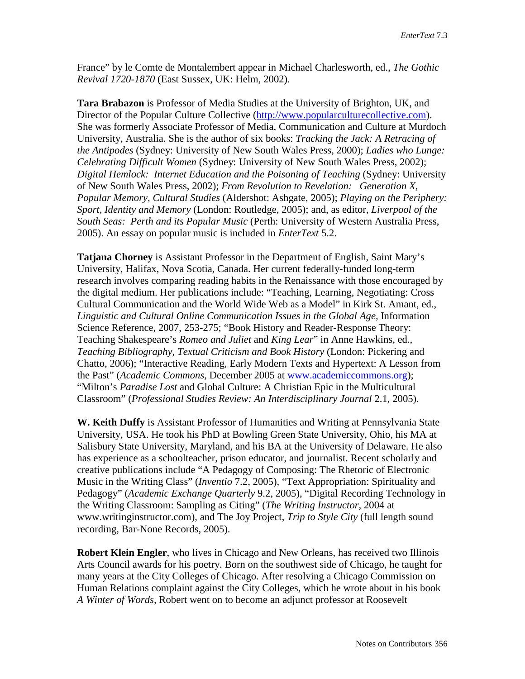France" by le Comte de Montalembert appear in Michael Charlesworth, ed., *The Gothic Revival 1720-1870* (East Sussex, UK: Helm, 2002).

**Tara Brabazon** is Professor of Media Studies at the University of Brighton, UK, and Director of the Popular Culture Collective [\(http://www.popularculturecollective.com\)](http://www.popularculturecollective.com/). She was formerly Associate Professor of Media, Communication and Culture at Murdoch University, Australia. She is the author of six books: *Tracking the Jack: A Retracing of the Antipodes* (Sydney: University of New South Wales Press, 2000); *Ladies who Lunge: Celebrating Difficult Women* (Sydney: University of New South Wales Press, 2002); *Digital Hemlock: Internet Education and the Poisoning of Teaching* (Sydney: University of New South Wales Press, 2002); *From Revolution to Revelation: Generation X, Popular Memory, Cultural Studies* (Aldershot: Ashgate, 2005); *Playing on the Periphery: Sport, Identity and Memory* (London: Routledge, 2005); and, as editor, *Liverpool of the South Seas: Perth and its Popular Music* (Perth: University of Western Australia Press, 2005). An essay on popular music is included in *EnterText* 5.2.

**Tatjana Chorney** is Assistant Professor in the Department of English, Saint Mary's University, Halifax, Nova Scotia, Canada. Her current federally-funded long-term research involves comparing reading habits in the Renaissance with those encouraged by the digital medium. Her publications include: "Teaching, Learning, Negotiating: Cross Cultural Communication and the World Wide Web as a Model" in Kirk St. Amant, ed., *Linguistic and Cultural Online Communication Issues in the Global Age,* Information Science Reference, 2007, 253-275; "Book History and Reader-Response Theory: Teaching Shakespeare's *Romeo and Juliet* and *King Lear*" in Anne Hawkins, ed., *Teaching Bibliography, Textual Criticism and Book History* (London: Pickering and Chatto, 2006); "Interactive Reading, Early Modern Texts and Hypertext: A Lesson from the Past" (*Academic Commons,* December 2005 at [www.academiccommons.org\)](http://www.academiccommons.org/); "Milton's *Paradise Lost* and Global Culture: A Christian Epic in the Multicultural Classroom" (*Professional Studies Review: An Interdisciplinary Journal* 2.1, 2005).

**W. Keith Duffy** is Assistant Professor of Humanities and Writing at Pennsylvania State University, USA. He took his PhD at Bowling Green State University, Ohio, his MA at Salisbury State University, Maryland, and his BA at the University of Delaware. He also has experience as a schoolteacher, prison educator, and journalist. Recent scholarly and creative publications include "A Pedagogy of Composing: The Rhetoric of Electronic Music in the Writing Class" (*Inventio* 7.2, 2005), "Text Appropriation: Spirituality and Pedagogy" (*Academic Exchange Quarterly* 9.2, 2005), "Digital Recording Technology in the Writing Classroom: Sampling as Citing" (*The Writing Instructor,* 2004 at [www.writinginstructor.com\)](http://www.writinginstructor.com/), and The Joy Project, *Trip to Style City* (full length sound recording, Bar-None Records, 2005).

**Robert Klein Engler**, who lives in Chicago and New Orleans, has received two Illinois Arts Council awards for his poetry. Born on the southwest side of Chicago, he taught for many years at the City Colleges of Chicago. After resolving a Chicago Commission on Human Relations complaint against the City Colleges, which he wrote about in his book *A Winter of Words,* Robert went on to become an adjunct professor at Roosevelt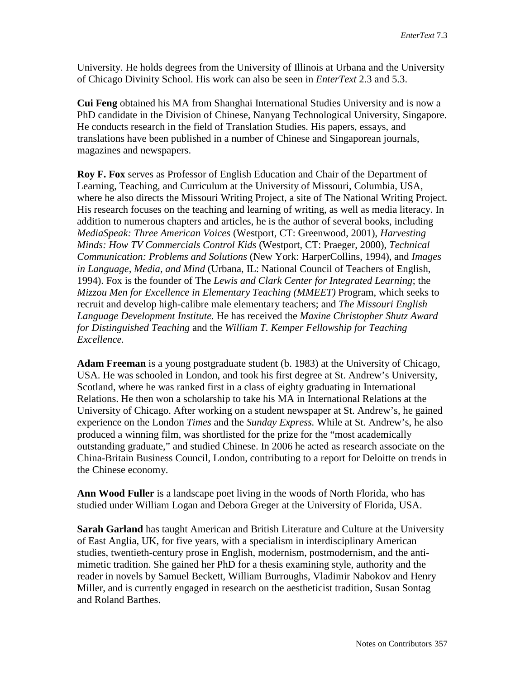University. He holds degrees from the University of Illinois at Urbana and the University of Chicago Divinity School. His work can also be seen in *EnterText* 2.3 and 5.3.

**Cui Feng** obtained his MA from Shanghai International Studies University and is now a PhD candidate in the Division of Chinese, Nanyang Technological University, Singapore. He conducts research in the field of Translation Studies. His papers, essays, and translations have been published in a number of Chinese and Singaporean journals, magazines and newspapers.

**Roy F. Fox** serves as Professor of English Education and Chair of the Department of Learning, Teaching, and Curriculum at the University of Missouri, Columbia, USA, where he also directs the Missouri Writing Project, a site of The National Writing Project. His research focuses on the teaching and learning of writing, as well as media literacy. In addition to numerous chapters and articles, he is the author of several books, including *MediaSpeak: Three American Voices* (Westport, CT: Greenwood, 2001), *Harvesting Minds: How TV Commercials Control Kids* (Westport, CT: Praeger, 2000), *Technical Communication: Problems and Solutions* (New York: HarperCollins, 1994), and *Images in Language, Media, and Mind* (Urbana, IL: National Council of Teachers of English, 1994). Fox is the founder of The *Lewis and Clark Center for Integrated Learning*; the *Mizzou Men for Excellence in Elementary Teaching (MMEET)* Program, which seeks to recruit and develop high-calibre male elementary teachers; and *The Missouri English Language Development Institute.* He has received the *Maxine Christopher Shutz Award for Distinguished Teaching* and the *William T. Kemper Fellowship for Teaching Excellence.* 

**Adam Freeman** is a young postgraduate student (b. 1983) at the University of Chicago, USA. He was schooled in London, and took his first degree at St. Andrew's University, Scotland, where he was ranked first in a class of eighty graduating in International Relations. He then won a scholarship to take his MA in International Relations at the University of Chicago. After working on a student newspaper at St. Andrew's, he gained experience on the London *Times* and the *Sunday Express.* While at St. Andrew's, he also produced a winning film, was shortlisted for the prize for the "most academically outstanding graduate," and studied Chinese. In 2006 he acted as research associate on the China-Britain Business Council, London, contributing to a report for Deloitte on trends in the Chinese economy.

**Ann Wood Fuller** is a landscape poet living in the woods of North Florida, who has studied under William Logan and Debora Greger at the University of Florida, USA.

**Sarah Garland** has taught American and British Literature and Culture at the University of East Anglia, UK, for five years, with a specialism in interdisciplinary American studies, twentieth-century prose in English, modernism, postmodernism, and the antimimetic tradition. She gained her PhD for a thesis examining style, authority and the reader in novels by Samuel Beckett, William Burroughs, Vladimir Nabokov and Henry Miller, and is currently engaged in research on the aestheticist tradition, Susan Sontag and Roland Barthes.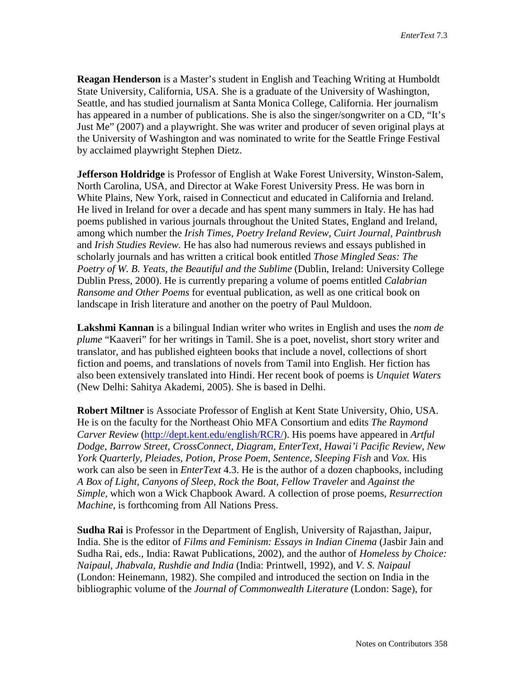**Reagan Henderson** is a Master's student in English and Teaching Writing at Humboldt State University, California, USA. She is a graduate of the University of Washington, Seattle, and has studied journalism at Santa Monica College, California. Her journalism has appeared in a number of publications. She is also the singer/songwriter on a CD, "It's Just Me" (2007) and a playwright. She was writer and producer of seven original plays at the University of Washington and was nominated to write for the Seattle Fringe Festival by acclaimed playwright Stephen Dietz.

**Jefferson Holdridge** is Professor of English at Wake Forest University, Winston-Salem, North Carolina, USA, and Director at Wake Forest University Press. He was born in White Plains, New York, raised in Connecticut and educated in California and Ireland. He lived in Ireland for over a decade and has spent many summers in Italy. He has had poems published in various journals throughout the United States, England and Ireland, among which number the *Irish Times, Poetry Ireland Review, Cuirt Journal, Paintbrush*  and *Irish Studies Review.* He has also had numerous reviews and essays published in scholarly journals and has written a critical book entitled *Those Mingled Seas: The*  Poetry of W. B. Yeats, the Beautiful and the Sublime (Dublin, Ireland: University College Dublin Press, 2000). He is currently preparing a volume of poems entitled *Calabrian Ransome and Other Poems* for eventual publication, as well as one critical book on landscape in Irish literature and another on the poetry of Paul Muldoon.

**Lakshmi Kannan** is a bilingual Indian writer who writes in English and uses the *nom de plume* "Kaaveri" for her writings in Tamil. She is a poet, novelist, short story writer and translator, and has published eighteen books that include a novel, collections of short fiction and poems, and translations of novels from Tamil into English. Her fiction has also been extensively translated into Hindi. Her recent book of poems is *Unquiet Waters*  (New Delhi: Sahitya Akademi, 2005). She is based in Delhi.

**Robert Miltner** is Associate Professor of English at Kent State University, Ohio, USA. He is on the faculty for the Northeast Ohio MFA Consortium and edits *The Raymond Carver Review* [\(http://dept.kent.edu/english/RCR/\)](http://dept.kent.edu/english/RCR/). His poems have appeared in *Artful Dodge, Barrow Street, CrossConnect, Diagram, EnterText, Hawai'i Pacific Review, New York Quarterly, Pleiades, Potion, Prose Poem, Sentence, Sleeping Fish* and *Vox.* His work can also be seen in *EnterText* 4.3. He is the author of a dozen chapbooks, including *A Box of Light, Canyons of Sleep, Rock the Boat, Fellow Traveler* and *Against the Simple,* which won a Wick Chapbook Award. A collection of prose poems, *Resurrection Machine,* is forthcoming from All Nations Press.

**Sudha Rai** is Professor in the Department of English, University of Rajasthan, Jaipur, India. She is the editor of *Films and Feminism: Essays in Indian Cinema* (Jasbir Jain and Sudha Rai, eds., India: Rawat Publications, 2002), and the author of *Homeless by Choice: Naipaul, Jhabvala, Rushdie and India* (India: Printwell, 1992), and *V. S. Naipaul*  (London: Heinemann, 1982). She compiled and introduced the section on India in the bibliographic volume of the *Journal of Commonwealth Literature* (London: Sage), for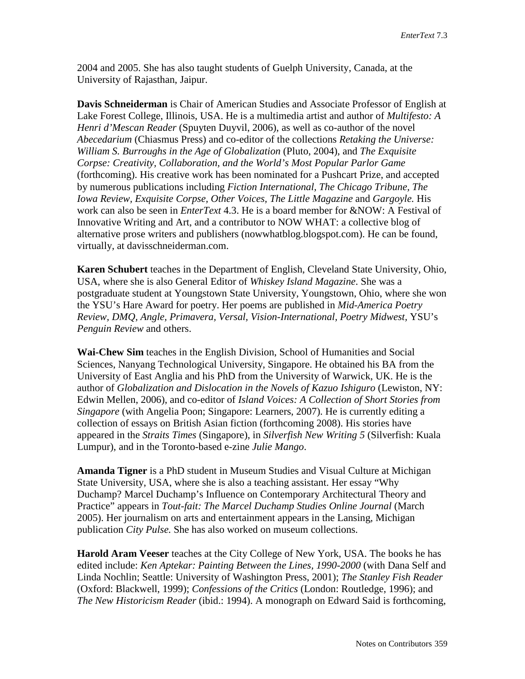2004 and 2005. She has also taught students of Guelph University, Canada, at the University of Rajasthan, Jaipur.

**Davis Schneiderman** is Chair of American Studies and Associate Professor of English at Lake Forest College, Illinois, USA. He is a multimedia artist and author of *Multifesto: A Henri d'Mescan Reader* (Spuyten Duyvil, 2006), as well as co-author of the novel *Abecedarium* (Chiasmus Press) and co-editor of the collections *Retaking the Universe: William S. Burroughs in the Age of Globalization* (Pluto, 2004), and *The Exquisite Corpse: Creativity, Collaboration, and the World's Most Popular Parlor Game*  (forthcoming). His creative work has been nominated for a Pushcart Prize, and accepted by numerous publications including *Fiction International, The Chicago Tribune, The Iowa Review, Exquisite Corpse, Other Voices, The Little Magazine* and *Gargoyle.* His work can also be seen in *EnterText* 4.3. He is a board member for &NOW: A Festival of Innovative Writing and Art, and a contributor to NOW WHAT: a collective blog of alternative prose writers and publishers (nowwhatblog.blogspot.com). He can be found, virtually, at davisschneiderman.com.

**Karen Schubert** teaches in the Department of English, Cleveland State University, Ohio, USA, where she is also General Editor of *Whiskey Island Magazine*. She was a postgraduate student at Youngstown State University, Youngstown, Ohio, where she won the YSU's Hare Award for poetry. Her poems are published in *Mid-America Poetry Review, DMQ, Angle, Primavera, Versal, Vision-International, Poetry Midwest,* YSU's *Penguin Review* and others.

**Wai-Chew Sim** teaches in the English Division, School of Humanities and Social Sciences, Nanyang Technological University, Singapore. He obtained his BA from the University of East Anglia and his PhD from the University of Warwick, UK. He is the author of *Globalization and Dislocation in the Novels of Kazuo Ishiguro* (Lewiston, NY: Edwin Mellen, 2006), and co-editor of *Island Voices: A Collection of Short Stories from Singapore* (with Angelia Poon; Singapore: Learners, 2007). He is currently editing a collection of essays on British Asian fiction (forthcoming 2008). His stories have appeared in the *Straits Times* (Singapore), in *Silverfish New Writing 5* (Silverfish: Kuala Lumpur), and in the Toronto-based e-zine *Julie Mango*.

**Amanda Tigner** is a PhD student in Museum Studies and Visual Culture at Michigan State University, USA, where she is also a teaching assistant. Her essay "Why Duchamp? Marcel Duchamp's Influence on Contemporary Architectural Theory and Practice" appears in *Tout-fait: The Marcel Duchamp Studies Online Journal* (March 2005). Her journalism on arts and entertainment appears in the Lansing, Michigan publication *City Pulse.* She has also worked on museum collections.

**Harold Aram Veeser** teaches at the City College of New York, USA. The books he has edited include: *Ken Aptekar: Painting Between the Lines, 1990-2000* (with Dana Self and Linda Nochlin; Seattle: University of Washington Press, 2001); *The Stanley Fish Reader*  (Oxford: Blackwell, 1999); *Confessions of the Critics* (London: Routledge, 1996); and *The New Historicism Reader* (ibid.: 1994). A monograph on Edward Said is forthcoming,